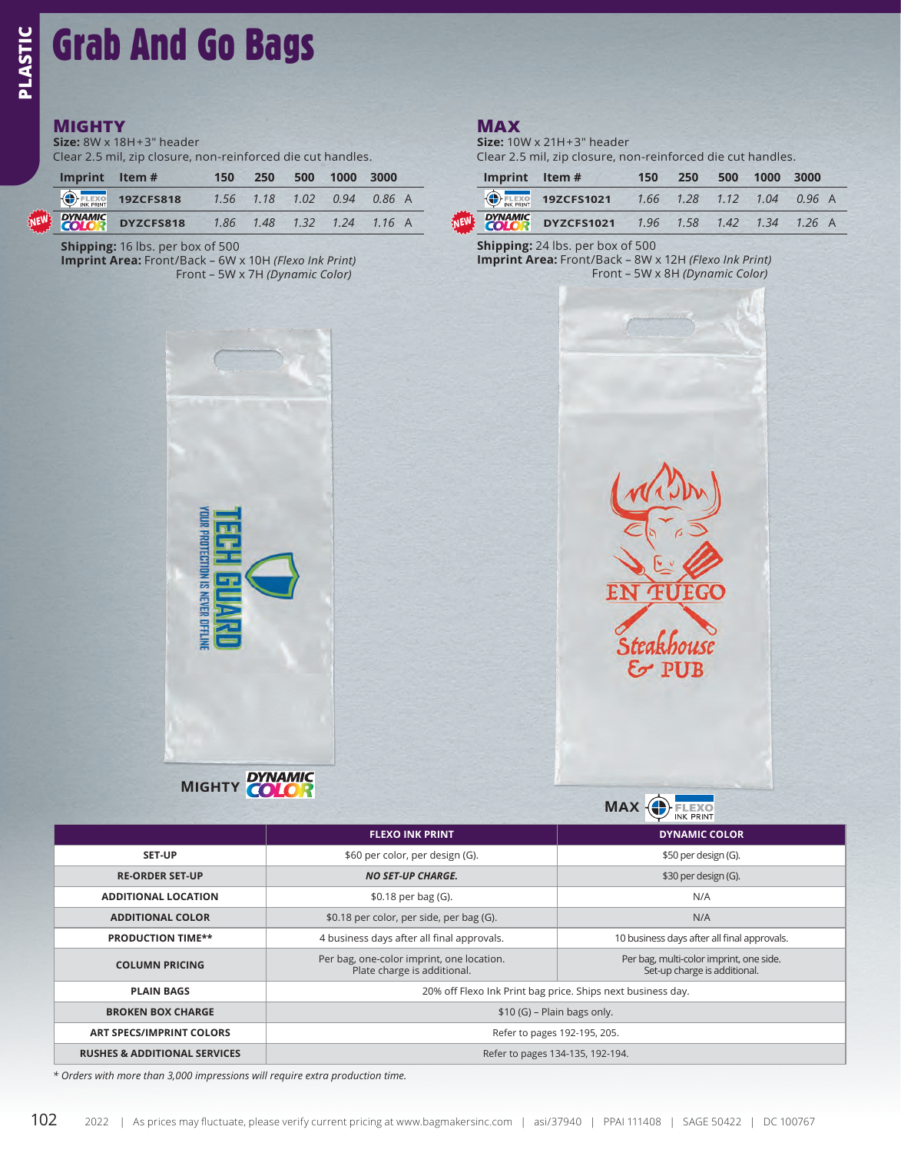# Grab And Go Bags

#### **MIGHTY**

ASTIC

| <b>PLASTIC</b> |                                | <b>Grab And Go Bags</b>                                                                                                                                |                                 |      |                                                                        |      |                                          |  |
|----------------|--------------------------------|--------------------------------------------------------------------------------------------------------------------------------------------------------|---------------------------------|------|------------------------------------------------------------------------|------|------------------------------------------|--|
|                | <b>MIGHTY</b>                  | Size: 8W x 18H+3" header                                                                                                                               |                                 |      |                                                                        |      |                                          |  |
|                |                                | Clear 2.5 mil, zip closure, non-reinforced die cut handles.                                                                                            |                                 |      |                                                                        |      |                                          |  |
|                | <b>Imprint</b>                 | Item#                                                                                                                                                  | 150                             | 250  | 500                                                                    | 1000 | 3000                                     |  |
|                | <b>FLEXO</b>                   | <b>19ZCFS818</b>                                                                                                                                       | 1.56                            | 1.18 | 1.02                                                                   | 0.94 | 0.86A                                    |  |
|                | <b>DYNAMIC</b><br><b>COLOR</b> | DYZCFS818                                                                                                                                              | 1.86                            | 1.48 | 1.32                                                                   | 1.24 | 1.16A                                    |  |
|                |                                | Shipping: 16 lbs. per box of 500<br>Imprint Area: Front/Back - 6W x 10H (Flexo Ink Print)                                                              | Front - 5W x 7H (Dynamic Color) |      |                                                                        |      |                                          |  |
|                |                                |                                                                                                                                                        |                                 |      |                                                                        |      |                                          |  |
|                |                                |                                                                                                                                                        | <b>ELIUN IS NEVER</b>           |      |                                                                        |      |                                          |  |
|                |                                |                                                                                                                                                        | MIGHTY <b>COLOR</b>             |      |                                                                        |      | <b>FLEXO INK</b>                         |  |
|                |                                | <b>SET-UP</b><br><b>RE-ORDER SET-UP</b>                                                                                                                |                                 |      |                                                                        |      | \$60 per color, pe<br><b>NO SET-UP C</b> |  |
|                |                                | <b>ADDITIONAL LOCATION</b>                                                                                                                             |                                 |      | \$0.18 per b                                                           |      |                                          |  |
|                |                                | <b>ADDITIONAL COLOR</b>                                                                                                                                |                                 |      |                                                                        |      | \$0.18 per color, per s                  |  |
|                |                                | <b>PRODUCTION TIME**</b>                                                                                                                               |                                 |      | 4 business days after a<br>Per bag, one-color imp<br>Plate charge is a |      |                                          |  |
|                |                                | <b>COLUMN PRICING</b>                                                                                                                                  |                                 |      |                                                                        |      |                                          |  |
|                | <b>PLAIN BAGS</b>              |                                                                                                                                                        |                                 |      |                                                                        |      |                                          |  |
|                |                                | <b>BROKEN BOX CHARGE</b>                                                                                                                               |                                 |      |                                                                        |      |                                          |  |
|                |                                | <b>ART SPECS/IMPRINT COLORS</b>                                                                                                                        |                                 |      |                                                                        |      |                                          |  |
|                |                                | <b>RUSHES &amp; ADDITIONAL SERVICES</b>                                                                                                                |                                 |      |                                                                        |      |                                          |  |
| 102            |                                | * Orders with more than 3,000 impressions will require extra production time.<br>2022   As prices may fluctuate, please verify current pricing at www. |                                 |      |                                                                        |      |                                          |  |

#### **MAX**

*NEW*

**Size:** 10W x 21H + 3" header Clear 2.5 mil, zip closure, non-reinforced die cut handles.

| Imprint Item# |                                               | 150 | 250 | 500 | 1000 | 3000 |
|---------------|-----------------------------------------------|-----|-----|-----|------|------|
|               | ELEXO 19ZCFS1021 1.66 1.28 1.12 1.04 0.96 A   |     |     |     |      |      |
|               | DYNAMIC DYZCFS1021 1.96 1.58 1.42 1.34 1.26 A |     |     |     |      |      |

**Shipping:** 24 lbs. per box of 500

**Imprint Area:** Front/Back – 8W x 12H *(Flexo Ink Print)* Front – 5W x 8H *(Dynamic Color)*